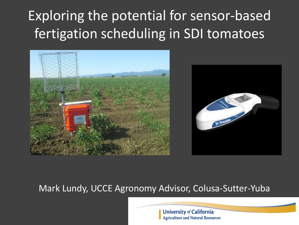# Exploring the potential for sensor-based fertigation scheduling in SDI tomatoes



#### Mark Lundy, UCCE Agronomy Advisor, Colusa-Sutter-Yuba

**University of California Agriculture and Natural Resources**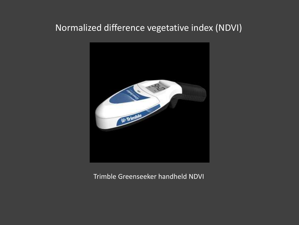#### Normalized difference vegetative index (NDVI)



Trimble Greenseeker handheld NDVI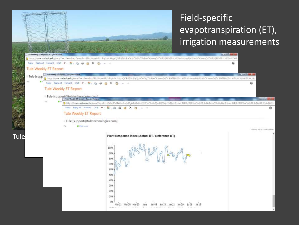

### Field-specific evapotranspiration (ET), irrigation measurements

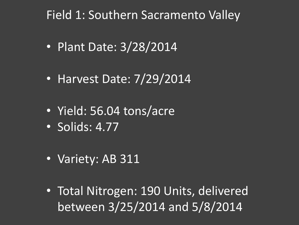### Field 1: Southern Sacramento Valley

- Plant Date: 3/28/2014
- Harvest Date: 7/29/2014
- Yield: 56.04 tons/acre
- Solids: 4.77
- Variety: AB 311
- Total Nitrogen: 190 Units, delivered between 3/25/2014 and 5/8/2014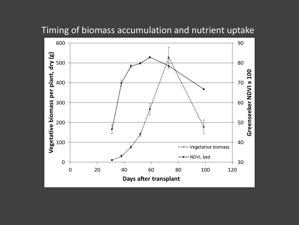

Timing of biomass accumulation and nutrient uptake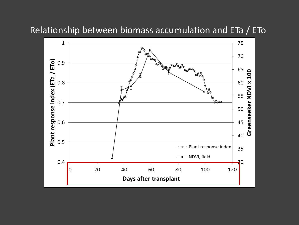

Relationship between biomass accumulation and ETa / ETo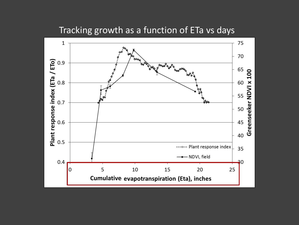

Tracking growth as a function of ETa vs days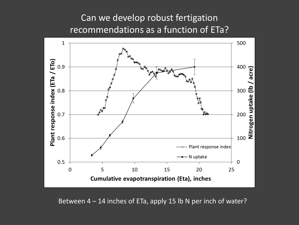#### Can we develop robust fertigation recommendations as a function of ETa?



Between 4 – 14 inches of ETa, apply 15 lb N per inch of water?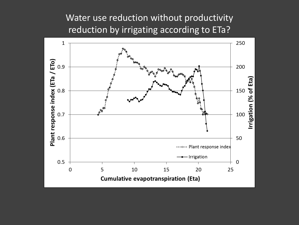Water use reduction without productivity reduction by irrigating according to ETa?

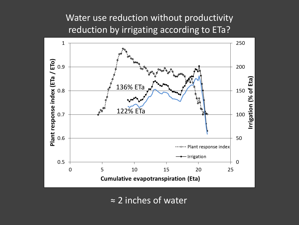Water use reduction without productivity reduction by irrigating according to ETa?



≈ 2 inches of water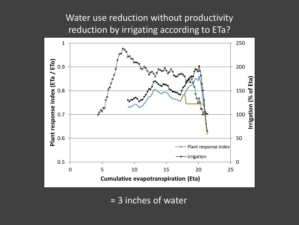Water use reduction without productivity reduction by irrigating according to ETa?



≈ 3 inches of water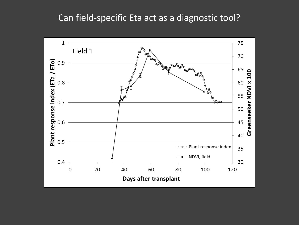#### Can field-specific Eta act as a diagnostic tool?

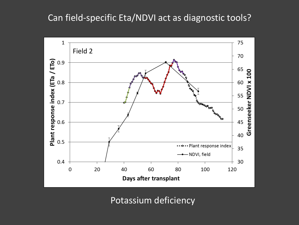#### Can field-specific Eta/NDVI act as diagnostic tools?



Potassium deficiency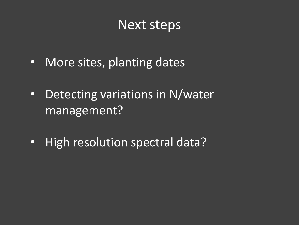### Next steps

- More sites, planting dates
- Detecting variations in N/water management?
- High resolution spectral data?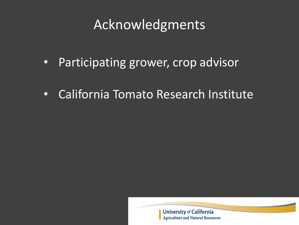## Acknowledgments

- Participating grower, crop advisor
- California Tomato Research Institute

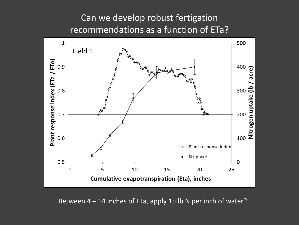#### Can we develop robust fertigation recommendations as a function of ETa?



Between 4 – 14 inches of ETa, apply 15 lb N per inch of water?